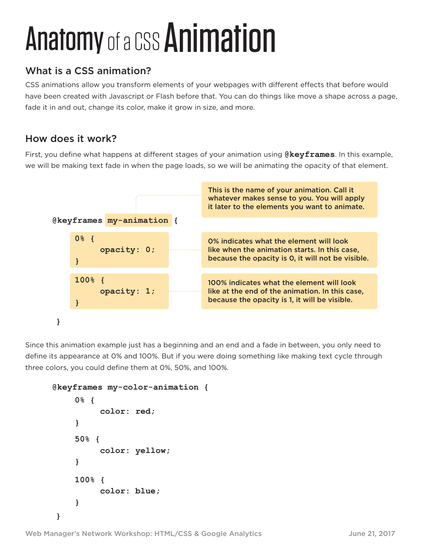## Anatomy of a CSS Animation

## What is a CSS animation?

CSS animations allow you transform elements of your webpages with different effects that before would have been created with Javascript or Flash before that. You can do things like move a shape across a page, fade it in and out, change its color, make it grow in size, and more.

## How does it work?

First, you define what happens at different stages of your animation using **@keyframes**. In this example, we will be making text fade in when the page loads, so we will be animating the opacity of that element.



Since this animation example just has a beginning and an end and a fade in between, you only need to define its appearance at 0% and 100%. But if you were doing something like making text cycle through three colors, you could define them at 0%, 50%, and 100%.

```
@keyframes my-color-animation {
}
    0% {
          color: red;
    }
    50% {
          color: yellow;
    }
    100% {
          color: blue;
    }
```